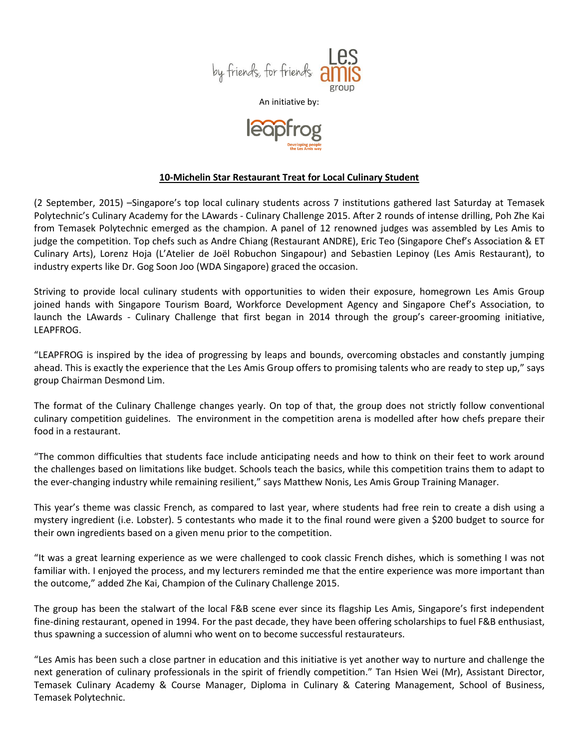

An initiative by:



## **10-Michelin Star Restaurant Treat for Local Culinary Student**

(2 September, 2015) –Singapore's top local culinary students across 7 institutions gathered last Saturday at Temasek Polytechnic's Culinary Academy for the LAwards - Culinary Challenge 2015. After 2 rounds of intense drilling, Poh Zhe Kai from Temasek Polytechnic emerged as the champion. A panel of 12 renowned judges was assembled by Les Amis to judge the competition. Top chefs such as Andre Chiang (Restaurant ANDRE), Eric Teo (Singapore Chef's Association & ET Culinary Arts), Lorenz Hoja (L'Atelier de Joël Robuchon Singapour) and Sebastien Lepinoy (Les Amis Restaurant), to industry experts like Dr. Gog Soon Joo (WDA Singapore) graced the occasion.

Striving to provide local culinary students with opportunities to widen their exposure, homegrown Les Amis Group joined hands with Singapore Tourism Board, Workforce Development Agency and Singapore Chef's Association, to launch the LAwards - Culinary Challenge that first began in 2014 through the group's career-grooming initiative, LEAPFROG.

"LEAPFROG is inspired by the idea of progressing by leaps and bounds, overcoming obstacles and constantly jumping ahead. This is exactly the experience that the Les Amis Group offers to promising talents who are ready to step up," says group Chairman Desmond Lim.

The format of the Culinary Challenge changes yearly. On top of that, the group does not strictly follow conventional culinary competition guidelines. The environment in the competition arena is modelled after how chefs prepare their food in a restaurant.

"The common difficulties that students face include anticipating needs and how to think on their feet to work around the challenges based on limitations like budget. Schools teach the basics, while this competition trains them to adapt to the ever-changing industry while remaining resilient," says Matthew Nonis, Les Amis Group Training Manager.

This year's theme was classic French, as compared to last year, where students had free rein to create a dish using a mystery ingredient (i.e. Lobster). 5 contestants who made it to the final round were given a \$200 budget to source for their own ingredients based on a given menu prior to the competition.

"It was a great learning experience as we were challenged to cook classic French dishes, which is something I was not familiar with. I enjoyed the process, and my lecturers reminded me that the entire experience was more important than the outcome," added Zhe Kai, Champion of the Culinary Challenge 2015.

The group has been the stalwart of the local F&B scene ever since its flagship Les Amis, Singapore's first independent fine-dining restaurant, opened in 1994. For the past decade, they have been offering scholarships to fuel F&B enthusiast, thus spawning a succession of alumni who went on to become successful restaurateurs.

"Les Amis has been such a close partner in education and this initiative is yet another way to nurture and challenge the next generation of culinary professionals in the spirit of friendly competition." Tan Hsien Wei (Mr), Assistant Director, Temasek Culinary Academy & Course Manager, Diploma in Culinary & Catering Management, School of Business, Temasek Polytechnic.